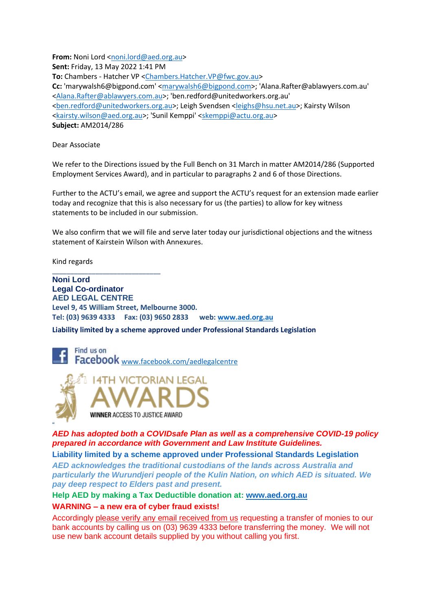**From:** Noni Lord [<noni.lord@aed.org.au>](mailto:noni.lord@aed.org.au) **Sent:** Friday, 13 May 2022 1:41 PM **To:** Chambers - Hatcher VP [<Chambers.Hatcher.VP@fwc.gov.au>](mailto:Chambers.Hatcher.VP@fwc.gov.au) **Cc:** 'marywalsh6@bigpond.com' [<marywalsh6@bigpond.com>](mailto:marywalsh6@bigpond.com); 'Alana.Rafter@ablawyers.com.au' [<Alana.Rafter@ablawyers.com.au>](mailto:Alana.Rafter@ablawyers.com.au); 'ben.redford@unitedworkers.org.au' [<ben.redford@unitedworkers.org.au>](mailto:ben.redford@unitedworkers.org.au); Leigh Svendsen [<leighs@hsu.net.au>](mailto:leighs@hsu.net.au); Kairsty Wilson [<kairsty.wilson@aed.org.au>](mailto:kairsty.wilson@aed.org.au); 'Sunil Kemppi' [<skemppi@actu.org.au>](mailto:skemppi@actu.org.au) **Subject:** AM2014/286

Dear Associate

We refer to the Directions issued by the Full Bench on 31 March in matter AM2014/286 (Supported Employment Services Award), and in particular to paragraphs 2 and 6 of those Directions.

Further to the ACTU's email, we agree and support the ACTU's request for an extension made earlier today and recognize that this is also necessary for us (the parties) to allow for key witness statements to be included in our submission.

We also confirm that we will file and serve later today our jurisdictional objections and the witness statement of Kairstein Wilson with Annexures.

Kind regards

\_\_\_\_\_\_\_\_\_\_\_\_\_\_\_\_\_\_\_\_\_\_\_\_\_\_\_\_\_\_

**Noni Lord Legal Co-ordinator AED LEGAL CENTRE Level 9, 45 William Street, Melbourne 3000. Tel: (03) 9639 4333 Fax: (03) 9650 2833 web:<www.aed.org.au>**

**Liability limited by a scheme approved under Professional Standards Legislation**

Find us on Facebook <www.facebook.com/aedlegalcentre>



" *AED has adopted both a COVIDsafe Plan as well as a comprehensive COVID-19 policy prepared in accordance with Government and Law Institute Guidelines.*

**Liability limited by a scheme approved under Professional Standards Legislation**

*AED acknowledges the traditional custodians of the lands across Australia and particularly the Wurundjeri people of the Kulin Nation, on which AED is situated. We pay deep respect to Elders past and present.*

**Help AED by making a Tax Deductible donation at: [www.aed.org.au](http://www.aed.org.au/)**

**WARNING – a new era of cyber fraud exists!** 

Accordingly please verify any email received from us requesting a transfer of monies to our bank accounts by calling us on (03) 9639 4333 before transferring the money. We will not use new bank account details supplied by you without calling you first.